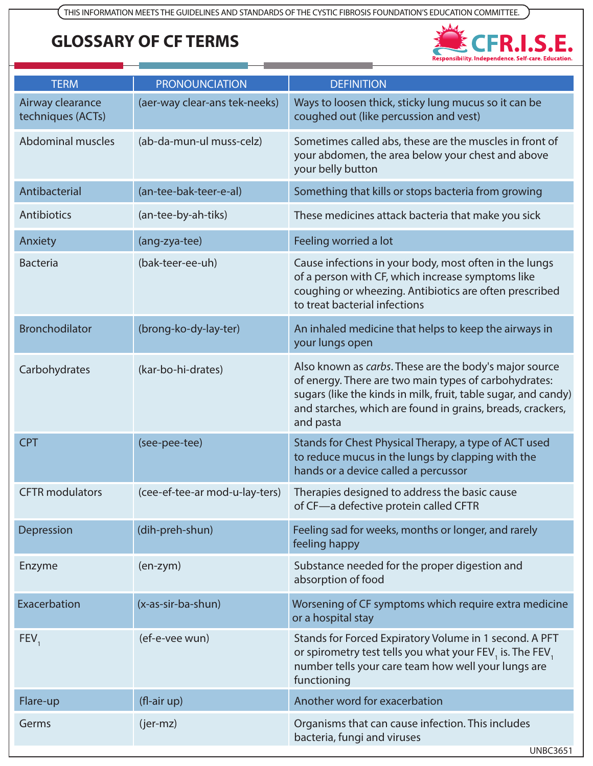## **GLOSSARY OF CF TERMS**



| <b>TERM</b>                           | <b>PRONOUNCIATION</b>          | <b>DEFINITION</b>                                                                                                                                                                                                                                            |
|---------------------------------------|--------------------------------|--------------------------------------------------------------------------------------------------------------------------------------------------------------------------------------------------------------------------------------------------------------|
| Airway clearance<br>techniques (ACTs) | (aer-way clear-ans tek-neeks)  | Ways to loosen thick, sticky lung mucus so it can be<br>coughed out (like percussion and vest)                                                                                                                                                               |
| <b>Abdominal muscles</b>              | (ab-da-mun-ul muss-celz)       | Sometimes called abs, these are the muscles in front of<br>your abdomen, the area below your chest and above<br>your belly button                                                                                                                            |
| Antibacterial                         | (an-tee-bak-teer-e-al)         | Something that kills or stops bacteria from growing                                                                                                                                                                                                          |
| Antibiotics                           | (an-tee-by-ah-tiks)            | These medicines attack bacteria that make you sick                                                                                                                                                                                                           |
| Anxiety                               | (ang-zya-tee)                  | Feeling worried a lot                                                                                                                                                                                                                                        |
| <b>Bacteria</b>                       | (bak-teer-ee-uh)               | Cause infections in your body, most often in the lungs<br>of a person with CF, which increase symptoms like<br>coughing or wheezing. Antibiotics are often prescribed<br>to treat bacterial infections                                                       |
| <b>Bronchodilator</b>                 | (brong-ko-dy-lay-ter)          | An inhaled medicine that helps to keep the airways in<br>your lungs open                                                                                                                                                                                     |
| Carbohydrates                         | (kar-bo-hi-drates)             | Also known as carbs. These are the body's major source<br>of energy. There are two main types of carbohydrates:<br>sugars (like the kinds in milk, fruit, table sugar, and candy)<br>and starches, which are found in grains, breads, crackers,<br>and pasta |
| <b>CPT</b>                            | (see-pee-tee)                  | Stands for Chest Physical Therapy, a type of ACT used<br>to reduce mucus in the lungs by clapping with the<br>hands or a device called a percussor                                                                                                           |
| <b>CFTR</b> modulators                | (cee-ef-tee-ar mod-u-lay-ters) | Therapies designed to address the basic cause<br>of CF-a defective protein called CFTR                                                                                                                                                                       |
| Depression                            | (dih-preh-shun)                | Feeling sad for weeks, months or longer, and rarely<br>feeling happy                                                                                                                                                                                         |
| Enzyme                                | $(en-zym)$                     | Substance needed for the proper digestion and<br>absorption of food                                                                                                                                                                                          |
| Exacerbation                          | (x-as-sir-ba-shun)             | Worsening of CF symptoms which require extra medicine<br>or a hospital stay                                                                                                                                                                                  |
| FEV <sub>1</sub>                      | (ef-e-vee wun)                 | Stands for Forced Expiratory Volume in 1 second. A PFT<br>or spirometry test tells you what your FEV <sub>1</sub> is. The FEV <sub>1</sub><br>number tells your care team how well your lungs are<br>functioning                                             |
| Flare-up                              | $(fl-air up)$                  | Another word for exacerbation                                                                                                                                                                                                                                |
| Germs                                 | (jer-mz)                       | Organisms that can cause infection. This includes<br>bacteria, fungi and viruses<br><b>UNBC3651</b>                                                                                                                                                          |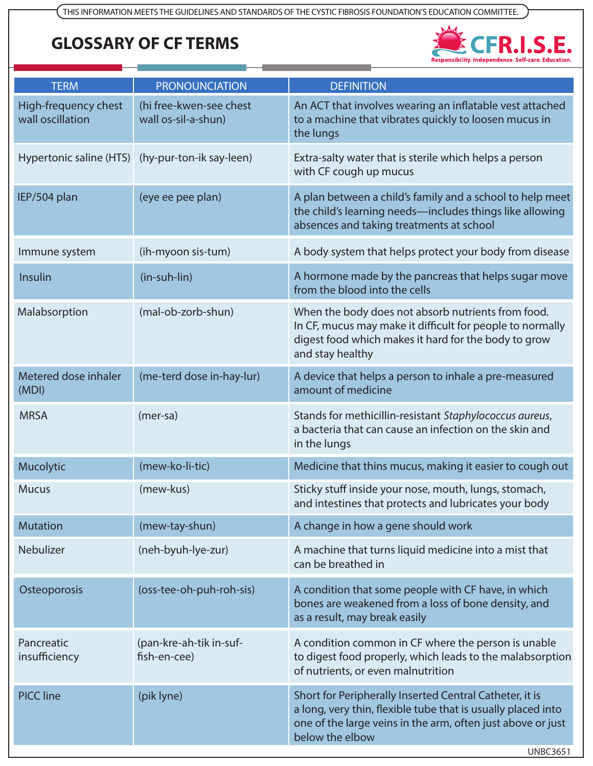## **GLOSSARY OF CF TERMS**



| <b>TERM</b>                              | <b>PRONOUNCIATION</b>                          | <b>DEFINITION</b>                                                                                                                                                                                                            |
|------------------------------------------|------------------------------------------------|------------------------------------------------------------------------------------------------------------------------------------------------------------------------------------------------------------------------------|
| High-frequency chest<br>wall oscillation | (hi free-kwen-see chest<br>wall os-sil-a-shun) | An ACT that involves wearing an inflatable vest attached<br>to a machine that vibrates quickly to loosen mucus in<br>the lungs                                                                                               |
| Hypertonic saline (HTS)                  | (hy-pur-ton-ik say-leen)                       | Extra-salty water that is sterile which helps a person<br>with CF cough up mucus                                                                                                                                             |
| IEP/504 plan                             | (eye ee pee plan)                              | A plan between a child's family and a school to help meet<br>the child's learning needs-includes things like allowing<br>absences and taking treatments at school                                                            |
| Immune system                            | (ih-myoon sis-tum)                             | A body system that helps protect your body from disease                                                                                                                                                                      |
| Insulin                                  | (in-suh-lin)                                   | A hormone made by the pancreas that helps sugar move<br>from the blood into the cells                                                                                                                                        |
| Malabsorption                            | (mal-ob-zorb-shun)                             | When the body does not absorb nutrients from food.<br>In CF, mucus may make it difficult for people to normally<br>digest food which makes it hard for the body to grow<br>and stay healthy                                  |
| Metered dose inhaler<br>(MDI)            | (me-terd dose in-hay-lur)                      | A device that helps a person to inhale a pre-measured<br>amount of medicine                                                                                                                                                  |
| <b>MRSA</b>                              | $(mer-sa)$                                     | Stands for methicillin-resistant Staphylococcus aureus,<br>a bacteria that can cause an infection on the skin and<br>in the lungs                                                                                            |
| Mucolytic                                | (mew-ko-li-tic)                                | Medicine that thins mucus, making it easier to cough out                                                                                                                                                                     |
| <b>Mucus</b>                             | (mew-kus)                                      | Sticky stuff inside your nose, mouth, lungs, stomach,<br>and intestines that protects and lubricates your body                                                                                                               |
| <b>Mutation</b>                          | (mew-tay-shun)                                 | A change in how a gene should work                                                                                                                                                                                           |
| <b>Nebulizer</b>                         | (neh-byuh-lye-zur)                             | A machine that turns liquid medicine into a mist that<br>can be breathed in                                                                                                                                                  |
| Osteoporosis                             | (oss-tee-oh-puh-roh-sis)                       | A condition that some people with CF have, in which<br>bones are weakened from a loss of bone density, and<br>as a result, may break easily                                                                                  |
| Pancreatic<br>insufficiency              | (pan-kre-ah-tik in-suf-<br>fish-en-cee)        | A condition common in CF where the person is unable<br>to digest food properly, which leads to the malabsorption<br>of nutrients, or even malnutrition                                                                       |
| <b>PICC line</b>                         | (pik lyne)                                     | Short for Peripherally Inserted Central Catheter, it is<br>a long, very thin, flexible tube that is usually placed into<br>one of the large veins in the arm, often just above or just<br>below the elbow<br><b>UNBC3651</b> |